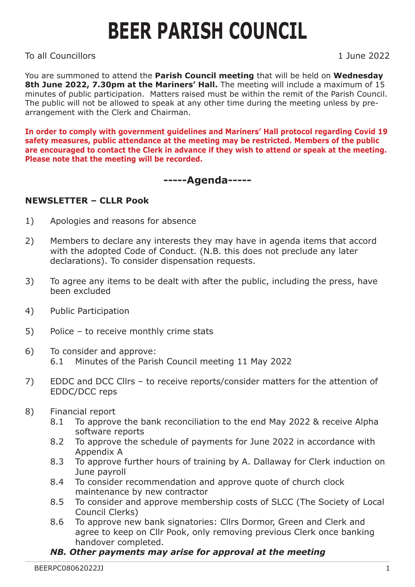## **BEER PARISH COUNCIL**

To all Councillors 1 June 2022

You are summoned to attend the **Parish Council meeting** that will be held on **Wednesday 8th June 2022, 7.30pm at the Mariners' Hall.** The meeting will include a maximum of 15 minutes of public participation. Matters raised must be within the remit of the Parish Council. The public will not be allowed to speak at any other time during the meeting unless by prearrangement with the Clerk and Chairman.

**In order to comply with government guidelines and Mariners' Hall protocol regarding Covid 19 safety measures, public attendance at the meeting may be restricted. Members of the public are encouraged to contact the Clerk in advance if they wish to attend or speak at the meeting. Please note that the meeting will be recorded.**

## **-----Agenda-----**

## **NEWSLETTER – CLLR Pook**

- 1) Apologies and reasons for absence
- 2) Members to declare any interests they may have in agenda items that accord with the adopted Code of Conduct. (N.B. this does not preclude any later declarations). To consider dispensation requests.
- 3) To agree any items to be dealt with after the public, including the press, have been excluded
- 4) Public Participation
- 5) Police to receive monthly crime stats
- 6) To consider and approve: 6.1 Minutes of the Parish Council meeting 11 May 2022
- 7) EDDC and DCC Cllrs to receive reports/consider matters for the attention of EDDC/DCC reps
- 8) Financial report
	- 8.1 To approve the bank reconciliation to the end May 2022 & receive Alpha software reports
	- 8.2 To approve the schedule of payments for June 2022 in accordance with Appendix A
	- 8.3 To approve further hours of training by A. Dallaway for Clerk induction on June payroll
	- 8.4 To consider recommendation and approve quote of church clock maintenance by new contractor
	- 8.5 To consider and approve membership costs of SLCC (The Society of Local Council Clerks)
	- 8.6 To approve new bank signatories: Cllrs Dormor, Green and Clerk and agree to keep on Cllr Pook, only removing previous Clerk once banking handover completed.

## *NB. Other payments may arise for approval at the meeting*